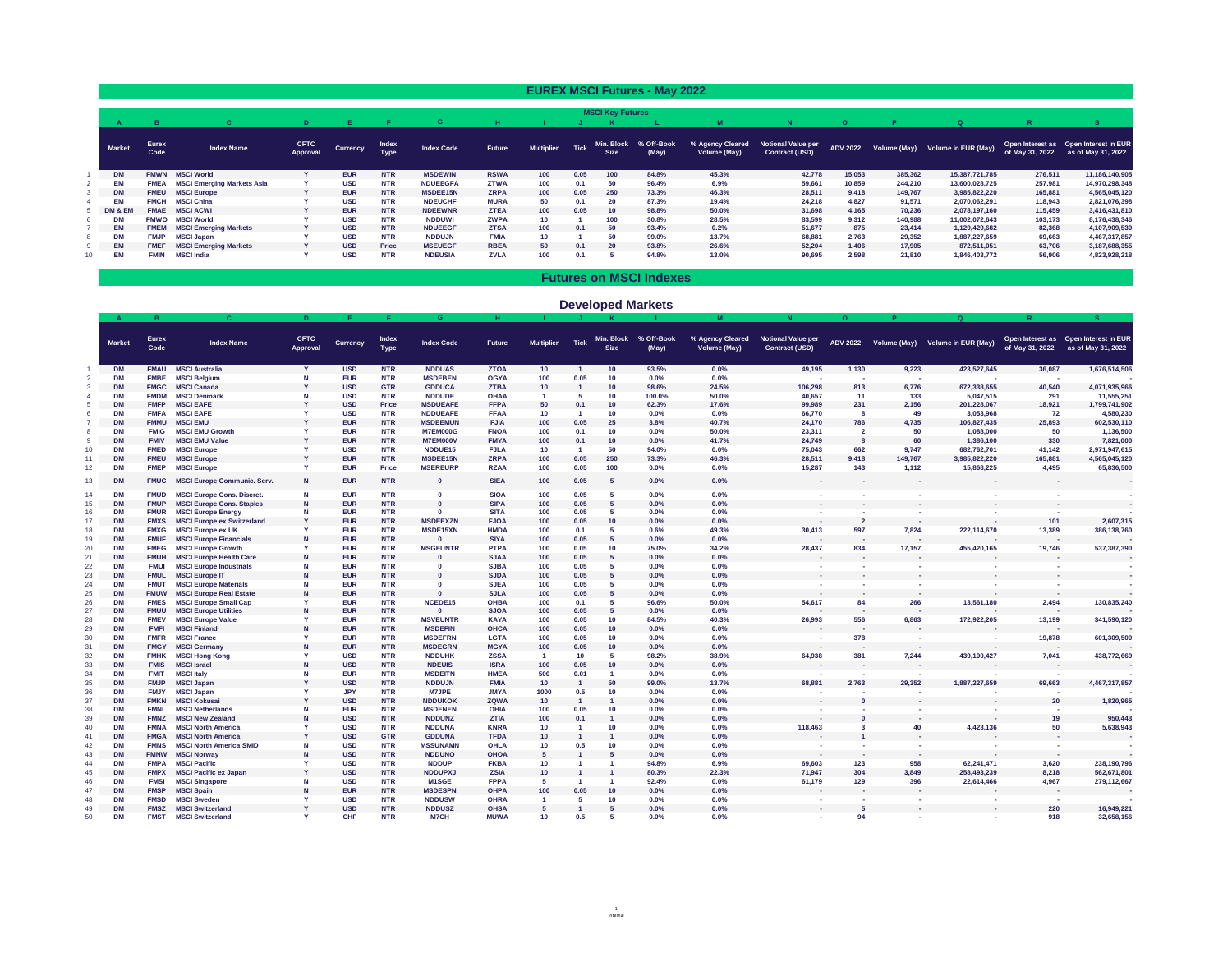|               |                      |                                   |                                |                 |                             |                   |               |                   |             |                           | <b>EUREX MSCI Futures - May 2022</b> |                                         |                                                    |                |         |                                                 |                 |                                                             |
|---------------|----------------------|-----------------------------------|--------------------------------|-----------------|-----------------------------|-------------------|---------------|-------------------|-------------|---------------------------|--------------------------------------|-----------------------------------------|----------------------------------------------------|----------------|---------|-------------------------------------------------|-----------------|-------------------------------------------------------------|
|               |                      |                                   |                                |                 |                             |                   |               |                   |             | <b>MSCI Key Futures</b>   |                                      |                                         |                                                    | $\overline{O}$ |         | $\Omega$                                        |                 |                                                             |
| <b>Market</b> | <b>Eurex</b><br>Code | <b>Index Name</b>                 | <b>CFTC</b><br><b>Approval</b> | <b>Currency</b> | <b>Index</b><br><b>Type</b> | <b>Index Code</b> | <b>Future</b> | <b>Multiplier</b> | <b>Tick</b> | Min. Block<br><b>Size</b> | % Off-Book<br>(May)                  | <b>% Agency Cleared</b><br>Volume (May) | <b>Notional Value per</b><br><b>Contract (USD)</b> |                |         | ADV 2022    Volume (May)    Volume in EUR (May) | of May 31, 2022 | Open Interest as Open Interest in EUR<br>as of May 31, 2022 |
| <b>DM</b>     | <b>FMWN</b>          | <b>MSCI World</b>                 |                                | <b>EUR</b>      | <b>NTR</b>                  | <b>MSDEWIN</b>    | <b>RSWA</b>   | 100               | 0.05        | 100                       | 84.8%                                | 45.3%                                   | 42,778                                             | 15,053         | 385,362 | 15,387,721,785                                  | 276,511         | 11,186,140,905                                              |
| ЕM            | <b>FMEA</b>          | <b>MSCI Emerging Markets Asia</b> |                                | <b>USD</b>      | <b>NTR</b>                  | <b>NDUEEGFA</b>   | <b>ZTWA</b>   | 100               | 0.1         | 50                        | 96.4%                                | 6.9%                                    | 59,661                                             | 10,859         | 244,210 | 13,600,028,725                                  | 257,981         | 14,970,298,348                                              |
| <b>DM</b>     | <b>FMEU</b>          | <b>MSCI Europe</b>                |                                | <b>EUR</b>      | <b>NTR</b>                  | <b>MSDEE15N</b>   | <b>ZRPA</b>   | 100               | 0.05        | <b>250</b>                | 73.3%                                | 46.3%                                   | 28,511                                             | 9,418          | 149,767 | 3,985,822,220                                   | 165,881         | 4,565,045,120                                               |
| EM            | <b>FMCH</b>          | <b>MSCI China</b>                 |                                | <b>USD</b>      | <b>NTR</b>                  | <b>NDEUCHF</b>    | <b>MURA</b>   | 50                | 0.1         | <b>20</b>                 | 87.3%                                | 19.4%                                   | 24,218                                             | 4,827          | 91,571  | 2,070,062,291                                   | 118,943         | 2,821,076,398                                               |
| DM & EM       | <b>FMAE</b>          | <b>MSCI ACWI</b>                  |                                | <b>EUR</b>      | <b>NTR</b>                  | <b>NDEEWNR</b>    | <b>ZTEA</b>   | 100               | 0.05        | 10                        | 98.8%                                | 50.0%                                   | 31,698                                             | 4,165          | 70,236  | 2,078,197,160                                   | 115,459         | 3,416,431,810                                               |
| <b>DM</b>     |                      | <b>FMWO</b> MSCI World            |                                | <b>USD</b>      | <b>NTR</b>                  | <b>NDDUWI</b>     | <b>ZWPA</b>   | 10                |             | 100                       | 30.8%                                | 28.5%                                   | 83,599                                             | 9,312          | 140,988 | 11,002,072,643                                  | 103,173         | 8,176,438,346                                               |
| <b>EM</b>     |                      | <b>FMEM MSCI Emerging Markets</b> |                                | <b>USD</b>      | <b>NTR</b>                  | <b>NDUEEGF</b>    | <b>ZTSA</b>   | 100               | 0.1         | 50                        | 93.4%                                | 0.2%                                    | 51,677                                             | 875            | 23,414  | 1,129,429,682                                   | 82,368          | 4,107,909,530                                               |
| <b>DM</b>     | <b>FMJP</b>          | <b>MSCI Japan</b>                 |                                | <b>USD</b>      | <b>NTR</b>                  | <b>NDDUJN</b>     | <b>FMIA</b>   | 10                |             | 50                        | 99.0%                                | 13.7%                                   | 68,881                                             | 2,763          | 29,352  | 1,887,227,659                                   | 69,663          | 4,467,317,857                                               |
| EM            | <b>FMEF</b>          | <b>MSCI Emerging Markets</b>      |                                | <b>USD</b>      | <b>Price</b>                | <b>MSEUEGF</b>    | <b>RBEA</b>   | 50                | 0.1         | <b>20</b>                 | 93.8%                                | 26.6%                                   | 52,204                                             | 1,406          | 17,905  | 872,511,051                                     | 63,706          | 3, 187, 688, 355                                            |
| <b>EM</b>     | <b>FMIN</b>          | <b>MSCI India</b>                 |                                | <b>USD</b>      | <b>NTR</b>                  | <b>NDEUSIA</b>    | <b>ZVLA</b>   | 100               | 0.1         |                           | 94.8%                                | 13.0%                                   | 90,695                                             | 2,598          | 21,810  | 1,846,403,772                                   | 56,906          | 4,823,928,218                                               |

|                 |                        |                            |                                        |                                |                          |                             |                               |                            |                   |             |                           |                     |                                         |                                                    | $\mathbf{O}$            |                          | Q                                |                                                                         |                                                             |
|-----------------|------------------------|----------------------------|----------------------------------------|--------------------------------|--------------------------|-----------------------------|-------------------------------|----------------------------|-------------------|-------------|---------------------------|---------------------|-----------------------------------------|----------------------------------------------------|-------------------------|--------------------------|----------------------------------|-------------------------------------------------------------------------|-------------------------------------------------------------|
|                 | <b>Market</b>          | <b>Eurex</b><br>Code       | <b>Index Name</b>                      | <b>CFTC</b><br><b>Approval</b> | <b>Currency</b>          | <b>Index</b><br><b>Type</b> | <b>Index Code</b>             | <b>Future</b>              | <b>Multiplier</b> | <b>Tick</b> | Min. Block<br><b>Size</b> | % Off-Book<br>(May) | % Agency Cleared<br><b>Volume (May)</b> | <b>Notional Value per</b><br><b>Contract (USD)</b> | <b>ADV 2022</b>         |                          | Volume (May) Volume in EUR (May) | of May 31, 2022                                                         | Open Interest as Open Interest in EUR<br>as of May 31, 2022 |
|                 | <b>DM</b>              | <b>FMAU</b>                | <b>MSCI Australia</b>                  |                                | <b>USD</b>               | <b>NTR</b>                  | <b>NDDUAS</b>                 | <b>ZTOA</b>                | 10                |             | 10                        | 93.5%               | $0.0\%$                                 | 49,195                                             | 1,130                   | 9,223                    | 423,527,645                      | 36,087                                                                  | 1,676,514,506                                               |
|                 | <b>DM</b>              | <b>FMBE</b>                | <b>MSCI Belgium</b>                    |                                | <b>EUR</b>               | <b>NTR</b>                  | <b>MSDEBEN</b>                | <b>OGYA</b>                | 100               | 0.05        |                           | $0.0\%$             | 0.0%                                    |                                                    | <b>Contract</b>         | <b>Contract</b>          |                                  | <b>Contract</b>                                                         |                                                             |
|                 | <b>DM</b>              | <b>FMGC</b>                | <b>MSCI Canada</b>                     |                                | <b>USD</b>               | <b>GTR</b>                  | <b>GDDUCA</b>                 | <b>ZTBA</b>                | 10                |             |                           | 98.6%               | 24.5%                                   | 106,298                                            | 813                     | 6,776                    | 672,338,655                      | 40,540                                                                  | 4,071,935,966                                               |
|                 | <b>DM</b>              | <b>FMDM</b>                | <b>MSCI Denmark</b>                    |                                | <b>USD</b>               | <b>NTR</b>                  | <b>NDDUDE</b>                 | <b>OHAA</b>                |                   |             |                           | 100.0%              | 50.0%                                   | 40,657                                             | 11                      | 133                      | 5,047,515                        | 291                                                                     | 11,555,251                                                  |
|                 | <b>DM</b>              | <b>FMFP</b>                | <b>MSCI EAFE</b>                       |                                | <b>USD</b>               | <b>Price</b>                | <b>MSDUEAFE</b>               | <b>FFPA</b>                | 50                | 0.1         |                           | 62.3%               | 17.6%                                   | 99,989                                             | 231                     | 2,156                    | 201,228,067                      | 18,921                                                                  | 1,799,741,902                                               |
|                 | <b>DM</b>              | <b>FMFA</b>                | <b>MSCI EAFE</b>                       |                                | <b>USD</b>               | <b>NTR</b>                  | <b>NDDUEAFE</b>               | <b>FFAA</b>                | 10                |             |                           | $0.0\%$             | 0.0%                                    | 66,770                                             |                         | 49                       | 3,053,968                        | 72                                                                      | 4,580,230                                                   |
|                 | <b>DM</b>              | <b>FMMU</b>                | <b>MSCI EMU</b>                        |                                | <b>EUR</b>               | <b>NTR</b>                  | <b>MSDEEMUN</b>               | <b>FJIA</b>                | 100               | 0.05        | 25                        | 3.8%                | 40.7%                                   | 24,170                                             | 786                     | 4,735                    | 106,827,435                      | 25,893                                                                  | 602,530,110                                                 |
|                 | <b>DM</b>              | <b>FMIG</b>                | <b>MSCI EMU Growth</b>                 |                                | <b>EUR</b>               | <b>NTR</b>                  | <b>M7EM000G</b>               | <b>FNOA</b>                | 100               | 0.1         |                           | $0.0\%$             | 50.0%                                   | 23,311                                             |                         | 50                       | 1,088,000                        | 50                                                                      | 1,136,500                                                   |
|                 | <b>DM</b>              | <b>FMIV</b>                | <b>MSCI EMU Value</b>                  |                                | <b>EUR</b>               | <b>NTR</b>                  | M7EM000V                      | <b>FMYA</b>                | 100               | 0.1         |                           | $0.0\%$             | 41.7%                                   | 24,749                                             |                         | 60                       | 1,386,100                        | 330                                                                     | 7,821,000                                                   |
|                 | <b>DM</b>              | <b>FMED</b>                | <b>MSCI Europe</b>                     |                                | <b>USD</b>               | <b>NTR</b>                  | NDDUE15                       | <b>FJLA</b>                | 10                |             | 50                        | 94.0%               | $0.0\%$                                 | 75,043                                             | 662                     | 9,747                    | 682,762,701                      | 41,142                                                                  | 2,971,947,615                                               |
|                 | <b>DM</b>              | <b>FMEU</b>                | <b>MSCI Europe</b>                     |                                | <b>EUR</b>               | <b>NTR</b>                  | <b>MSDEE15N</b>               | <b>ZRPA</b>                | 100               | 0.05        | 250                       | 73.3%               | 46.3%                                   | 28,511                                             | 9,418                   | 149,767                  | 3,985,822,220                    | 165,881                                                                 | 4,565,045,120                                               |
|                 | <b>DM</b>              | <b>FMEP</b>                | <b>MSCI Europe</b>                     |                                | <b>EUR</b>               | <b>Price</b>                | <b>MSEREURP</b>               | <b>RZAA</b>                | 100               | 0.05        | 100                       | $0.0\%$             | $0.0\%$                                 | 15,287                                             | 143                     | 1,112                    | 15,868,225                       | 4,495                                                                   | 65,836,500                                                  |
| 13 <sup>2</sup> | <b>DM</b>              | <b>FMUC</b>                | <b>MSCI Europe Communic. Serv.</b>     | $\mathbf N$                    | <b>EUR</b>               | <b>NTR</b>                  | $\bf{0}$                      | <b>SIEA</b>                | 100               | 0.05        |                           | $0.0\%$             | $0.0\%$                                 |                                                    |                         |                          |                                  |                                                                         |                                                             |
|                 | <b>DM</b>              | <b>FMUD</b>                | <b>MSCI Europe Cons. Discret.</b>      |                                | <b>EUR</b>               | <b>NTR</b>                  |                               | <b>SIOA</b>                | 100               | 0.05        |                           | $0.0\%$             | $0.0\%$                                 |                                                    |                         |                          |                                  |                                                                         |                                                             |
|                 | <b>DM</b>              | <b>FMUP</b>                | <b>MSCI Europe Cons. Staples</b>       | <b>N</b>                       | <b>EUR</b>               | <b>NTR</b>                  |                               | <b>SIPA</b>                | 100               | 0.05        |                           | $0.0\%$             | $0.0\%$                                 | $\sim$                                             |                         | <b>Contract Contract</b> | <b>Contract</b>                  | $\sim$                                                                  |                                                             |
|                 | <b>DM</b>              | <b>FMUR</b>                | <b>MSCI Europe Energy</b>              |                                | <b>EUR</b>               | <b>NTR</b>                  |                               | <b>SITA</b>                | 100               | 0.05        |                           | $0.0\%$             | $0.0\%$                                 |                                                    |                         |                          |                                  |                                                                         |                                                             |
|                 | <b>DM</b>              | <b>FMXS</b>                | MSCI Europe ex Switzerland             |                                | <b>EUR</b>               | <b>NTR</b>                  | <b>MSDEEXZN</b>               | <b>FJOA</b>                | 100               | 0.05        |                           | $0.0\%$             | $0.0\%$                                 | $\sim$                                             |                         | $\sim$                   | <b>College</b>                   | 101                                                                     | 2,607,315                                                   |
|                 |                        | <b>FMXG</b>                | <b>MSCI Europe ex UK</b>               |                                | <b>EUR</b>               | <b>NTR</b>                  | <b>MSDE15XN</b>               | <b>HMDA</b>                |                   | 0.1         |                           | 0.6%                | 49.3%                                   | 30,413                                             |                         | 7,824                    | 222,114,670                      | 13,389                                                                  | 386,138,760                                                 |
|                 | <b>DM</b>              | <b>FMUF</b>                | <b>MSCI Europe Financials</b>          |                                | <b>EUR</b>               | <b>NTR</b>                  |                               | <b>SIYA</b>                | 100               | 0.05        |                           | $0.0\%$             | $0.0\%$                                 | $\sim$ 100 $\mu$                                   | $\sim$ 100 $\pm$        | $\sim 100$               |                                  | <b>Contract</b>                                                         |                                                             |
|                 | <b>DM</b>              | <b>FMEG</b>                | <b>MSCI Europe Growth</b>              |                                | <b>EUR</b>               | <b>NTR</b>                  | <b>MSGEUNTR</b>               | <b>PTPA</b>                | 100               | 0.05        |                           | 75.0%               | 34.2%                                   | 28,437                                             | 834                     | 17,157                   | 455,420,165                      | 19,746                                                                  | 537,387,390                                                 |
|                 | <b>DM</b>              | <b>FMUH</b>                | <b>MSCI Europe Health Care</b>         |                                | <b>EUR</b>               | <b>NTR</b>                  |                               | <b>SJAA</b>                | 100               | 0.05        |                           | $0.0\%$             | $0.0\%$                                 |                                                    |                         |                          |                                  |                                                                         |                                                             |
|                 | <b>DM</b>              | <b>FMUI</b>                | <b>MSCI Europe Industrials</b>         |                                | <b>EUR</b>               | <b>NTR</b>                  |                               | <b>SJBA</b>                | 100               | 0.05        |                           | $0.0\%$             | 0.0%                                    |                                                    |                         |                          |                                  |                                                                         |                                                             |
|                 | <b>DM</b>              | <b>FMUL</b>                | <b>MSCI Europe IT</b>                  |                                | <b>EUR</b>               | <b>NTR</b>                  |                               | <b>SJDA</b>                | 100               | 0.05        |                           | $0.0\%$             | $0.0\%$                                 | <b>Contract</b>                                    |                         |                          |                                  |                                                                         |                                                             |
|                 | <b>DM</b>              | <b>FMUT</b>                | <b>MSCI Europe Materials</b>           |                                | <b>EUR</b>               | <b>NTR</b>                  |                               | <b>SJEA</b>                | 100               | 0.05        |                           | $0.0\%$             | $0.0\%$                                 |                                                    |                         |                          |                                  |                                                                         |                                                             |
|                 | <b>DM</b>              | <b>FMUW</b>                | <b>MSCI Europe Real Estate</b>         |                                | <b>EUR</b>               | <b>NTR</b>                  |                               | <b>SJLA</b>                | 100               | 0.05        |                           | $0.0\%$             | $0.0\%$                                 |                                                    | <b>Contract</b>         |                          |                                  |                                                                         |                                                             |
|                 | <b>DM</b>              | <b>FMES</b>                | <b>MSCI Europe Small Cap</b>           |                                | <b>EUR</b>               | <b>NTR</b>                  | NCEDE15                       | <b>OHBA</b>                | 100               | 0.1         |                           | 96.6%               | 50.0%                                   | 54,617                                             | 84                      | 266                      | 13,561,180                       | 2,494                                                                   | 130,835,240                                                 |
|                 | <b>DM</b>              | <b>FMUU</b>                | <b>MSCI Europe Utilities</b>           |                                | <b>EUR</b>               | <b>NTR</b>                  | $\bf{0}$                      | <b>SJOA</b>                | 100               | 0.05        |                           | $0.0\%$             | $0.0\%$                                 | $\sim$                                             | $\sim$ 100 $\pm$        | $\sim 1000$              | $\sim$                           | <b>Contract</b>                                                         |                                                             |
|                 | <b>DM</b>              | <b>FMEV</b>                | <b>MSCI Europe Value</b>               |                                | <b>EUR</b>               | <b>NTR</b>                  | <b>MSVEUNTR</b>               | KAYA                       | 100               | 0.05        |                           | 84.5%               | 40.3%                                   | 26,993                                             | 556                     | 6,863                    | 172,922,205                      | 13,199                                                                  | 341,590,120                                                 |
|                 | <b>DM</b>              | <b>FMFI</b>                | <b>MSCI Finland</b>                    |                                | <b>EUR</b>               | <b>NTR</b>                  | <b>MSDEFIN</b>                | <b>OHCA</b>                | 100               | 0.05        |                           | $0.0\%$             | $0.0\%$                                 | <b>COL</b>                                         |                         |                          |                                  | <b>Contract</b>                                                         |                                                             |
|                 | <b>DM</b>              | <b>FMFR</b>                | <b>MSCI France</b>                     |                                | <b>EUR</b>               | <b>NTR</b>                  | <b>MSDEFRN</b>                | <b>LGTA</b>                | 100               | 0.05        |                           | $0.0\%$             | $0.0\%$                                 | $\sim$                                             | 378                     |                          |                                  | 19,878                                                                  | 601,309,500                                                 |
|                 | <b>DM</b>              | <b>FMGY</b>                | <b>MSCI Germany</b>                    |                                | <b>EUR</b>               | <b>NTR</b>                  | <b>MSDEGRN</b>                | <b>MGYA</b>                | 100               | 0.05        |                           | $0.0\%$             | $0.0\%$                                 | $\sim$ 100 $\mu$                                   | <b>Contract</b>         | $\sim$ $-$               |                                  | <b>Contract</b>                                                         |                                                             |
|                 | <b>DM</b>              | <b>FMHK</b>                | <b>MSCI Hong Kong</b>                  |                                | <b>USD</b>               | <b>NTR</b>                  | <b>NDDUHK</b>                 | <b>ZSSA</b>                |                   | 10          |                           | 98.2%               | 38.9%                                   | 64,938                                             | 381                     | 7,244                    | 439,100,427                      | 7,041                                                                   | 438,772,669                                                 |
|                 | <b>DM</b>              | <b>FMIS</b>                | <b>MSCI Israel</b>                     |                                | <b>USD</b>               | <b>NTR</b>                  | <b>NDEUIS</b>                 | <b>ISRA</b>                | 100               | 0.05        |                           | $0.0\%$             | $0.0\%$                                 | <b>COL</b>                                         |                         | <b>Contract</b>          |                                  | <b>Contract</b>                                                         |                                                             |
|                 | <b>DM</b>              | <b>FMIT</b><br><b>FMJP</b> | <b>MSCI Italy</b><br><b>MSCI Japan</b> |                                | <b>EUR</b>               | <b>NTR</b><br><b>NTR</b>    | <b>MSDEITN</b>                | <b>HMEA</b><br><b>FMIA</b> | 500               | 0.01        | 50                        | $0.0\%$             | $0.0\%$<br>13.7%                        |                                                    | 2,763                   | 29,352                   |                                  |                                                                         |                                                             |
|                 | <b>DM</b><br><b>DM</b> | <b>FMJY</b>                | <b>MSCI Japan</b>                      |                                | <b>USD</b><br><b>JPY</b> | <b>NTR</b>                  | <b>NDDUJN</b><br><b>M7JPE</b> | <b>JMYA</b>                | 10<br>1000        | 0.5         |                           | 99.0%<br>$0.0\%$    | 0.0%                                    | 68,881                                             |                         |                          | 1,887,227,659                    | 69,663                                                                  | 4,467,317,857                                               |
|                 | <b>DM</b>              | <b>FMKN</b>                | <b>MSCI Kokusai</b>                    |                                | <b>USD</b>               | <b>NTR</b>                  | <b>NDDUKOK</b>                | <b>ZQWA</b>                | 10                |             |                           | $0.0\%$             | $0.0\%$                                 |                                                    |                         |                          |                                  | <b>20</b>                                                               | 1,820,965                                                   |
|                 | <b>DM</b>              | <b>FMNL</b>                | <b>MSCI Netherlands</b>                |                                | <b>EUR</b>               | <b>NTR</b>                  | <b>MSDENEN</b>                | <b>OHIA</b>                | 100               | 0.05        |                           | $0.0\%$             | 0.0%                                    | $\sim$                                             |                         |                          |                                  |                                                                         |                                                             |
|                 | <b>DM</b>              | <b>FMNZ</b>                | <b>MSCI New Zealand</b>                |                                | <b>USD</b>               | <b>NTR</b>                  | <b>NDDUNZ</b>                 | <b>ZTIA</b>                | 100               | 0.1         |                           | $0.0\%$             | $0.0\%$                                 | $\sim$                                             |                         | $\sim$                   |                                  | 19                                                                      | 950,443                                                     |
|                 | <b>DM</b>              | <b>FMNA</b>                | <b>MSCI North America</b>              |                                | <b>USD</b>               | <b>NTR</b>                  | <b>NDDUNA</b>                 | <b>KNRA</b>                | 10                |             |                           | $0.0\%$             | $0.0\%$                                 | 118,463                                            |                         | 40                       | 4,423,136                        | 50                                                                      | 5,638,943                                                   |
|                 | <b>DM</b>              | <b>FMGA</b>                | <b>MSCI North America</b>              |                                | <b>USD</b>               | <b>GTR</b>                  | <b>GDDUNA</b>                 | <b>TFDA</b>                | 10 <sub>1</sub>   |             |                           | $0.0\%$             | $0.0\%$                                 |                                                    |                         |                          |                                  |                                                                         |                                                             |
|                 | <b>DM</b>              | <b>FMNS</b>                | <b>MSCI North America SMID</b>         |                                | <b>USD</b>               | <b>NTR</b>                  | <b>MSSUNAMN</b>               | <b>OHLA</b>                | 10 <sub>1</sub>   |             |                           | $0.0\%$             | $0.0\%$                                 |                                                    |                         |                          |                                  |                                                                         |                                                             |
| 43              | <b>DM</b>              | <b>FMNW</b>                | <b>MSCI Norway</b>                     | $\mathbf N$                    | <b>USD</b>               | <b>NTR</b>                  | <b>NDDUNO</b>                 | <b>OHOA</b>                |                   |             |                           | $0.0\%$             | $0.0\%$                                 | $\sim 100$                                         | $\sim$ $-$              | <b>Contract</b>          | <b>College</b>                   | $\sim 1000$                                                             | $\sim$ $\sim$                                               |
| 44              | <b>DM</b>              |                            | <b>FMPA MSCI Pacific</b>               |                                | <b>USD</b>               | <b>NTR</b>                  | <b>NDDUP</b>                  | <b>FKBA</b>                | 10                |             |                           | 94.8%               | 6.9%                                    | 69,603                                             | 123                     | 958                      | 62,241,471                       | 3,620                                                                   | 238,190,796                                                 |
| 45              | <b>DM</b>              | <b>FMPX</b>                | <b>MSCI Pacific ex Japan</b>           |                                | <b>USD</b>               | <b>NTR</b>                  | <b>NDDUPXJ</b>                | <b>ZSIA</b>                | 10                |             |                           | 80.3%               | 22.3%                                   | 71,947                                             | 304                     | 3,849                    | 258,493,239                      | 8,218                                                                   | 562,671,801                                                 |
| 46              | <b>DM</b>              | <b>FMSI</b>                | <b>MSCI Singapore</b>                  |                                | <b>USD</b>               | <b>NTR</b>                  | <b>M1SGE</b>                  | <b>FPPA</b>                |                   |             |                           | 92.4%               | $0.0\%$                                 | 61,179                                             | 129                     | 396                      | 22,614,466                       | 4,967                                                                   | 279,112,667                                                 |
|                 | <b>DM</b>              | <b>FMSP</b>                | <b>MSCI Spain</b>                      | $\mathbf N$                    | <b>EUR</b>               | <b>NTR</b>                  | <b>MSDESPN</b>                | <b>OHPA</b>                | 100               | 0.05        | 10                        | $0.0\%$             | $0.0\%$                                 | $\sim$                                             | $\sim$ 100 $\pm$        | <b>Contract</b>          | <b>Contract</b>                  | $\sim 1000$                                                             | $\sim$ $-$                                                  |
| 48              | <b>DM</b>              | <b>FMSD</b>                | <b>MSCI Sweden</b>                     |                                | <b>USD</b>               | <b>NTR</b>                  | <b>NDDUSW</b>                 | <b>OHRA</b>                |                   |             | 10                        | $0.0\%$             | $0.0\%$                                 | $\sim$                                             |                         |                          | <b>College</b>                   | <b>Contract</b>                                                         | $\sim$ 100 $\pm$                                            |
| 49              | <b>DM</b>              |                            | <b>FMSZ</b> MSCI Switzerland           |                                | <b>USD</b>               | <b>NTR</b>                  | <b>NDDUSZ</b>                 | <b>OHSA</b>                |                   |             |                           | $0.0\%$             | $0.0\%$                                 | $\sim 100$                                         | $\overline{\mathbf{5}}$ | <b>College</b>           |                                  | <b>220</b><br>$\mathcal{A}(\mathcal{A})$ and $\mathcal{A}(\mathcal{A})$ | 16,949,221                                                  |
|                 | <b>DM</b>              |                            | <b>FMST MSCI Switzerland</b>           |                                | <b>CHF</b>               | <b>NTR</b>                  | <b>M7CH</b>                   | <b>MUWA</b>                | 10                | 0.5         |                           | $0.0\%$             | $0.0\%$                                 | $\sim$                                             | 94                      | $\sim$                   | <b>Contract</b>                  | 918                                                                     | 32,658,156                                                  |

## **Futures on MSCI Indexes**

## **Developed Markets**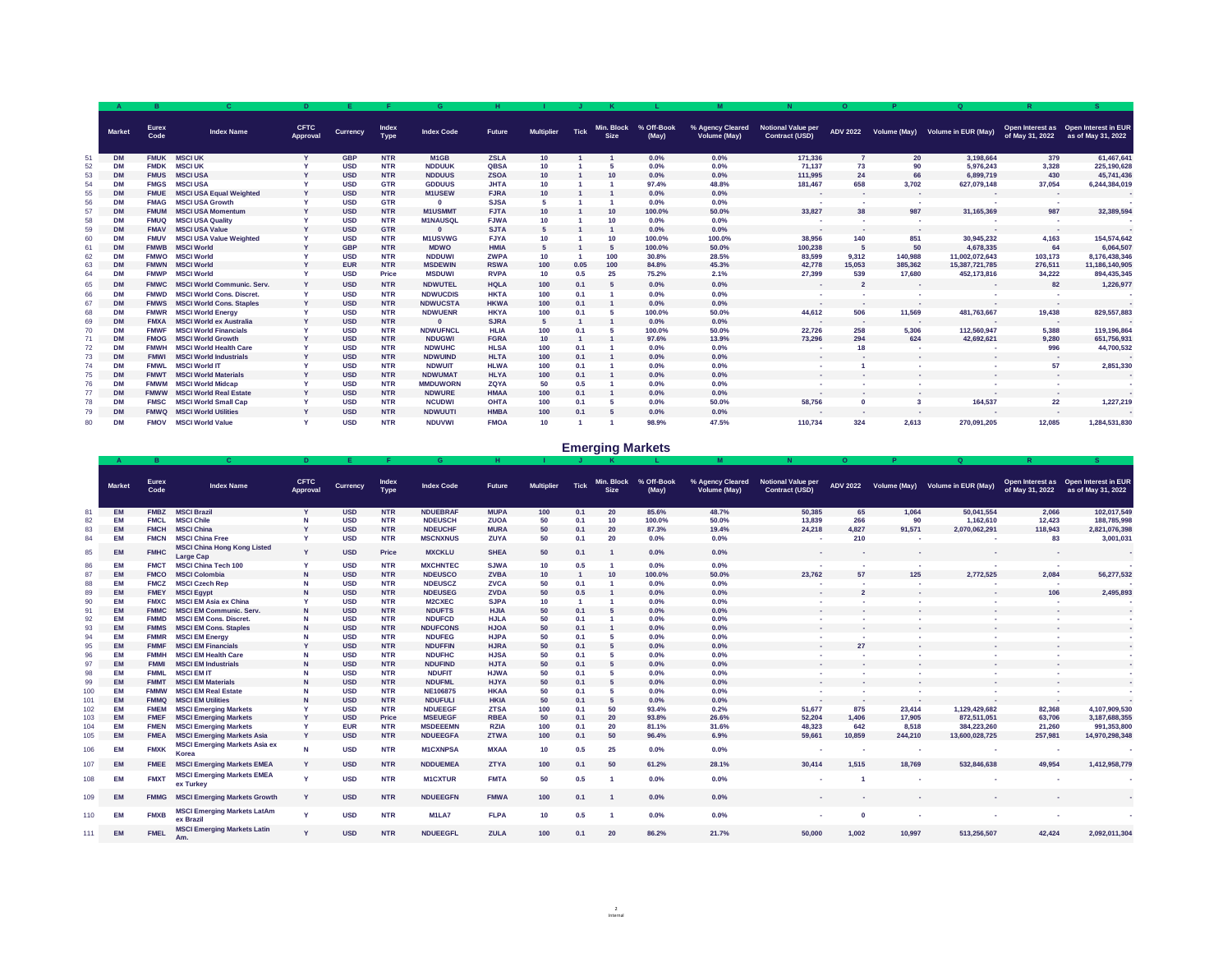|    |               |                      |                                   |                                |                 |                      |                   |               |                   |             |                           |                     |                                         |                                                    | $\mathbf{O}$             |                          | $\Omega$                         |                         |                                                                                             |
|----|---------------|----------------------|-----------------------------------|--------------------------------|-----------------|----------------------|-------------------|---------------|-------------------|-------------|---------------------------|---------------------|-----------------------------------------|----------------------------------------------------|--------------------------|--------------------------|----------------------------------|-------------------------|---------------------------------------------------------------------------------------------|
|    | <b>Market</b> | <b>Eurex</b><br>Code | <b>Index Name</b>                 | <b>CFTC</b><br><b>Approval</b> | <b>Currency</b> | Index<br><b>Type</b> | <b>Index Code</b> | <b>Future</b> | <b>Multiplier</b> | <b>Tick</b> | Min. Block<br><b>Size</b> | % Off-Book<br>(May) | % Agency Cleared<br><b>Volume (May)</b> | <b>Notional Value per</b><br><b>Contract (USD)</b> | <b>ADV 2022</b>          |                          | Volume (May) Volume in EUR (May) | of May 31, 2022         | <b>Open Interest as Appen Interest in EUR <math>^{\dagger}</math></b><br>as of May 31, 2022 |
|    | <b>DM</b>     | <b>FMUK</b>          | <b>MSCI UK</b>                    |                                | <b>GBP</b>      | <b>NTR</b>           | M <sub>1</sub> GB | <b>ZSLA</b>   | 10                |             |                           | 0.0%                | $0.0\%$                                 | 171,336                                            |                          | <b>20</b>                | 3,198,664                        | 379                     | 61,467,641                                                                                  |
| 52 | <b>DM</b>     | <b>FMDK</b>          | <b>MSCI UK</b>                    |                                | <b>USD</b>      | <b>NTR</b>           | <b>NDDUUK</b>     | <b>QBSA</b>   | 10                |             |                           | 0.0%                | 0.0%                                    | 71,137                                             | 73                       | 90                       | 5,976,243                        | 3,328                   | 225,190,628                                                                                 |
| 53 | <b>DM</b>     | <b>FMUS</b>          | <b>MSCI USA</b>                   |                                | <b>USD</b>      | <b>NTR</b>           | <b>NDDUUS</b>     | <b>ZSOA</b>   | 10                |             |                           | 0.0%                | $0.0\%$                                 | 111,995                                            | 24                       | 66                       | 6,899,719                        | 430                     | 45,741,436                                                                                  |
| 54 | <b>DM</b>     | <b>FMGS</b>          | <b>MSCI USA</b>                   |                                | <b>USD</b>      | <b>GTR</b>           | <b>GDDUUS</b>     | <b>JHTA</b>   | 10                |             |                           | 97.4%               | 48.8%                                   | 181,467                                            | 658                      | 3,702                    | 627,079,148                      | 37,054                  | 6,244,384,019                                                                               |
| 55 | <b>DM</b>     | <b>FMUE</b>          | <b>MSCI USA Equal Weighted</b>    |                                | <b>USD</b>      | <b>NTR</b>           | <b>M1USEW</b>     | <b>FJRA</b>   | 10                |             |                           | $0.0\%$             | $0.0\%$                                 | $\sim 10^{-11}$                                    | <b>Contract</b>          | <b>Contract</b>          |                                  | $\sim$                  |                                                                                             |
| 56 | <b>DM</b>     | <b>FMAG</b>          | <b>MSCI USA Growth</b>            |                                | <b>USD</b>      | <b>GTR</b>           | $\bf{0}$          | <b>SJSA</b>   |                   |             |                           | 0.0%                | 0.0%                                    |                                                    | <b>Contract</b>          | $\sim$                   |                                  |                         |                                                                                             |
| 57 | <b>DM</b>     | <b>FMUM</b>          | <b>MSCI USA Momentum</b>          |                                | <b>USD</b>      | <b>NTR</b>           | <b>M1USMMT</b>    | <b>FJTA</b>   | 10                |             | 10                        | 100.0%              | 50.0%                                   | 33,827                                             | 38                       | 987                      | 31,165,369                       | 987                     | 32,389,594                                                                                  |
| 58 | <b>DM</b>     | <b>FMUQ</b>          | <b>MSCI USA Quality</b>           |                                | <b>USD</b>      | <b>NTR</b>           | <b>M1NAUSQL</b>   | <b>FJWA</b>   | 10                |             |                           | 0.0%                | 0.0%                                    |                                                    |                          | $\sim$ 100 $\mu$         |                                  | <b>Contract</b>         |                                                                                             |
| 59 | <b>DM</b>     | <b>FMAV</b>          | <b>MSCI USA Value</b>             |                                | <b>USD</b>      | <b>GTR</b>           | $\bf{0}$          | <b>SJTA</b>   |                   |             |                           | 0.0%                | 0.0%                                    | <b>COL</b>                                         | $\sim$                   | $\sim$ 100 $\mu$         | <b>COL</b>                       | $\sim$ $-$              |                                                                                             |
| 60 | <b>DM</b>     | <b>FMUV</b>          | <b>MSCI USA Value Weighted</b>    |                                | <b>USD</b>      | <b>NTR</b>           | <b>M1USVWG</b>    | <b>FJYA</b>   | 10                |             |                           | 100.0%              | 100.0%                                  | 38,956                                             | 140                      | 851                      | 30,945,232                       | 4,163                   | 154,574,642                                                                                 |
| 61 | <b>DM</b>     | <b>FMWB</b>          | <b>MSCI World</b>                 |                                | <b>GBP</b>      | <b>NTR</b>           | <b>MDWO</b>       | <b>HMIA</b>   |                   |             |                           | 100.0%              | 50.0%                                   | 100,238                                            |                          | 50                       | 4,678,335                        | 64                      | 6,064,507                                                                                   |
| 62 | <b>DM</b>     | <b>FMWO</b>          | <b>MSCI World</b>                 |                                | <b>USD</b>      | <b>NTR</b>           | <b>NDDUWI</b>     | <b>ZWPA</b>   | 10                |             | 100                       | 30.8%               | 28.5%                                   | 83,599                                             | 9,312                    | 140,988                  | 11,002,072,643                   | 103,173                 | 8,176,438,346                                                                               |
| 63 | <b>DM</b>     | <b>FMWN</b>          | <b>MSCI World</b>                 |                                | <b>EUR</b>      | <b>NTR</b>           | <b>MSDEWIN</b>    | <b>RSWA</b>   | 100               | 0.05        | 100                       | 84.8%               | 45.3%                                   | 42,778                                             | 15,053                   | 385,362                  | 15,387,721,785                   | 276,511                 | 11,186,140,905                                                                              |
| 64 | <b>DM</b>     | <b>FMWP</b>          | <b>MSCI World</b>                 |                                | <b>USD</b>      | <b>Price</b>         | <b>MSDUWI</b>     | <b>RVPA</b>   | 10                | 0.5         | <b>25</b>                 | 75.2%               | 2.1%                                    | 27,399                                             | 539                      | 17,680                   | 452,173,816                      | 34,222                  | 894,435,345                                                                                 |
| 65 | <b>DM</b>     | <b>FMWC</b>          | <b>MSCI World Communic. Serv.</b> |                                | <b>USD</b>      | <b>NTR</b>           | <b>NDWUTEL</b>    | <b>HQLA</b>   | 100               | 0.1         |                           | 0.0%                | 0.0%                                    | $\sim$ $-$                                         |                          | $\sim$ 100 $\mu$         |                                  | 82                      | 1,226,977                                                                                   |
| 66 | <b>DM</b>     | <b>FMWD</b>          | <b>MSCI World Cons. Discret.</b>  |                                | <b>USD</b>      | <b>NTR</b>           | <b>NDWUCDIS</b>   | <b>HKTA</b>   | 100               | 0.1         |                           | 0.0%                | 0.0%                                    | <b>COLL</b>                                        |                          |                          | <b>COL</b>                       | $\sim$                  |                                                                                             |
| 67 | <b>DM</b>     | <b>FMWS</b>          | <b>MSCI World Cons. Staples</b>   |                                | <b>USD</b>      | <b>NTR</b>           | <b>NDWUCSTA</b>   | <b>HKWA</b>   | 100               | 0.1         |                           | 0.0%                | 0.0%                                    | <b>COL</b>                                         | <b>Contract</b>          |                          | <b>Contract</b>                  | $\sim$                  |                                                                                             |
| 68 | <b>DM</b>     | <b>FMWR</b>          | <b>MSCI World Energy</b>          |                                | <b>USD</b>      | <b>NTR</b>           | <b>NDWUENR</b>    | <b>HKYA</b>   |                   | 0.1         |                           | 100.0%              | 50.0%                                   | 44,612                                             | 506                      | 11,569                   | 481,763,667                      | 19,438                  | 829,557,883                                                                                 |
| 69 | <b>DM</b>     | <b>FMXA</b>          | <b>MSCI World ex Australia</b>    |                                | <b>USD</b>      | <b>NTR</b>           | $\mathbf{0}$      | <b>SJRA</b>   |                   |             |                           | $0.0\%$             | $0.0\%$                                 | $\sim 100$                                         | $\sim 100$               | $\sim 100$               |                                  | $\sim$ 100 $\pm$        | $\sim$ $-$                                                                                  |
| 70 | <b>DM</b>     | <b>FMWF</b>          | <b>MSCI World Financials</b>      |                                | <b>USD</b>      | <b>NTR</b>           | <b>NDWUFNCL</b>   | <b>HLIA</b>   | 100               | 0.1         |                           | 100.0%              | 50.0%                                   | 22,726                                             | 258                      | 5,306                    | 112,560,947                      | 5,388                   | 119,196,864                                                                                 |
|    | <b>DM</b>     | <b>FMOG</b>          | <b>MSCI World Growth</b>          |                                | <b>USD</b>      | <b>NTR</b>           | <b>NDUGWI</b>     | <b>FGRA</b>   | 10                |             |                           | 97.6%               | 13.9%                                   | 73,296                                             | 294                      | 624                      | 42,692,621                       | 9,280                   | 651,756,931                                                                                 |
| 72 | <b>DM</b>     | <b>FMWH</b>          | <b>MSCI World Health Care</b>     |                                | <b>USD</b>      | <b>NTR</b>           | <b>NDWUHC</b>     | <b>HLSA</b>   | 100               | 0.1         |                           | $0.0\%$             | $0.0\%$                                 | $\sim$                                             |                          | $\sim$ 100 $\mu$         | <b>COL</b>                       | 996                     | 44,700,532                                                                                  |
|    | <b>DM</b>     | <b>FMWI</b>          | <b>MSCI World Industrials</b>     |                                | <b>USD</b>      | <b>NTR</b>           | <b>NDWUIND</b>    | <b>HLTA</b>   | 100               | 0.1         |                           | $0.0\%$             | $0.0\%$                                 | $\mathcal{A}=\{0,1\}$                              | <b>Contract</b>          | <b>Contract Contract</b> | $\sim 100$                       | $\sim 100$ km s $^{-1}$ | $\sim$ $-$                                                                                  |
| 74 | <b>DM</b>     | <b>FMWL</b>          | <b>MSCI World IT</b>              |                                | <b>USD</b>      | <b>NTR</b>           | <b>NDWUIT</b>     | <b>HLWA</b>   | 100               | 0.1         |                           | $0.0\%$             | $0.0\%$                                 | <b>College</b>                                     |                          |                          | <b>Contract</b>                  | 57                      | 2,851,330                                                                                   |
| 75 | <b>DM</b>     | <b>FMWT</b>          | <b>MSCI World Materials</b>       |                                | <b>USD</b>      | <b>NTR</b>           | <b>NDWUMAT</b>    | <b>HLYA</b>   | 100               | 0.1         |                           | $0.0\%$             | $0.0\%$                                 | $\mathcal{A}=\{1,2,3\}$                            | <b>Contract</b>          | $\sim$ 100 $\mu$         | <b>Contract Contract</b>         | $\sim 100$              | $\sim$                                                                                      |
| 76 | <b>DM</b>     | <b>FMWM</b>          | <b>MSCI World Midcap</b>          |                                | <b>USD</b>      | <b>NTR</b>           | <b>MMDUWORN</b>   | ZQYA          | 50                | 0.5         |                           | $0.0\%$             | $0.0\%$                                 | <b>College</b>                                     | <b>Contract Contract</b> |                          | <b>Contract</b>                  | $\sim$                  | $\sim$                                                                                      |
|    | <b>DM</b>     | <b>FMWW</b>          | <b>MSCI World Real Estate</b>     |                                | <b>USD</b>      | <b>NTR</b>           | <b>NDWURE</b>     | <b>HMAA</b>   | 100               | 0.1         |                           | $0.0\%$             | $0.0\%$                                 | $\sim 100$                                         | <b>Contract</b>          | $\sim$ 100 $\sim$        | $\sim 100$                       | $\sim$ $-$              | $\sim$                                                                                      |
| 78 | <b>DM</b>     |                      | <b>FMSC MSCI World Small Cap</b>  |                                | <b>USD</b>      | <b>NTR</b>           | <b>NCUDWI</b>     | <b>OHTA</b>   | 100               | 0.1         |                           | $0.0\%$             | 50.0%                                   | 58,756                                             | $\boldsymbol{0}$         |                          | 164,537                          | 22                      | 1,227,219                                                                                   |
| 79 | <b>DM</b>     |                      | <b>FMWQ MSCI World Utilities</b>  |                                | <b>USD</b>      | <b>NTR</b>           | <b>NDWUUTI</b>    | <b>HMBA</b>   | 100               | 0.1         | . 5                       | $0.0\%$             | $0.0\%$                                 | $\sim 100$                                         | $\sim 100$               | $\sim 100$               | $\sim$ 100 $\mu$                 | $\sim 100$              | $\sim$ $-$                                                                                  |
| 80 | <b>DM</b>     |                      | <b>FMOV MSCI World Value</b>      |                                | <b>USD</b>      | <b>NTR</b>           | <b>NDUVWI</b>     | <b>FMOA</b>   | 10                |             |                           | 98.9%               | 47.5%                                   | 110,734                                            | 324                      | 2,613                    | 270,091,205                      | 12,085                  | 1,284,531,830                                                                               |

|                  | <b>Market</b> | <b>Eurex</b><br>Code | <b>Index Name</b>                                      | <b>CFTC</b><br><b>Approval</b> | <b>Currency</b> | <b>Index</b><br>Type | <b>Index Code</b> | <b>Future</b> | <b>Multiplier</b> | <b>Tick</b> | Min. Block<br><b>Size</b> | % Off-Book<br>(May) | % Agency Cleared<br>Volume (May) | <b>Notional Value per</b><br><b>Contract (USD)</b> | <b>ADV 2022</b> |            | Volume (May)  Volume in EUR (May) | of May 31, 2022 | Open Interest as Open Interest in EUR<br>as of May 31, 2022 |
|------------------|---------------|----------------------|--------------------------------------------------------|--------------------------------|-----------------|----------------------|-------------------|---------------|-------------------|-------------|---------------------------|---------------------|----------------------------------|----------------------------------------------------|-----------------|------------|-----------------------------------|-----------------|-------------------------------------------------------------|
|                  | EM            | <b>FMBZ</b>          | <b>MSCI Brazil</b>                                     |                                | <b>USD</b>      | <b>NTR</b>           | <b>NDUEBRAF</b>   | <b>MUPA</b>   | 100               | 0.1         | <b>20</b>                 | 85.6%               | 48.7%                            | 50,385                                             | 65              | 1,064      | 50,041,554                        | 2,066           | 102,017,549                                                 |
| 82               | ЕM            | <b>FMCL</b>          | <b>MSCI Chile</b>                                      |                                | <b>USD</b>      | <b>NTR</b>           | <b>NDEUSCH</b>    | <b>ZUOA</b>   | 50                | 0.1         | 10                        | 100.0%              | 50.0%                            | 13,839                                             | 266             | 90         | 1,162,610                         | 12,423          | 188,785,998                                                 |
| 83               | EM            | <b>FMCH</b>          | <b>MSCI China</b>                                      |                                | <b>USD</b>      | <b>NTR</b>           | <b>NDEUCHF</b>    | <b>MURA</b>   | 50                | 0.1         | <b>20</b>                 | 87.3%               | 19.4%                            | 24,218                                             | 4,827           | 91,571     | 2,070,062,291                     | 118,943         | 2,821,076,398                                               |
| 84               | EM            | FMCN                 | <b>MSCI China Free</b>                                 |                                | <b>USD</b>      | <b>NTR</b>           | <b>MSCNXNUS</b>   | <b>ZUYA</b>   | 50                | 0.1         | <b>20</b>                 | 0.0%                | 0.0%                             |                                                    | 210             |            | <b>Contract</b>                   | 83              | 3,001,031                                                   |
| 85               | <b>EM</b>     | <b>FMHC</b>          | <b>MSCI China Hong Kong Listed</b><br><b>Large Cap</b> |                                | <b>USD</b>      | <b>Price</b>         | <b>MXCKLU</b>     | <b>SHEA</b>   | 50                | 0.1         |                           | 0.0%                | 0.0%                             | $\sim$                                             |                 |            |                                   |                 |                                                             |
| 86               | ЕM            | <b>FMCT</b>          | <b>MSCI China Tech 100</b>                             |                                | <b>USD</b>      | <b>NTR</b>           | <b>MXCHNTEC</b>   | <b>SJWA</b>   | 10                | 0.5         |                           | $0.0\%$             | 0.0%                             |                                                    |                 |            |                                   |                 |                                                             |
| 87               | EM            | <b>FMCO</b>          | <b>MSCI Colombia</b>                                   |                                | <b>USD</b>      | <b>NTR</b>           | <b>NDEUSCO</b>    | <b>ZVBA</b>   | 10 <sub>1</sub>   |             | 10                        | 100.0%              | 50.0%                            | 23,762                                             | 57              | 125        | 2,772,525                         | 2,084           | 56,277,532                                                  |
| 88               | EM            | <b>FMCZ</b>          | <b>MSCI Czech Rep</b>                                  |                                | <b>USD</b>      | <b>NTR</b>           | <b>NDEUSCZ</b>    | <b>ZVCA</b>   | 50                | 0.1         |                           | 0.0%                | 0.0%                             |                                                    |                 |            |                                   | <b>Contract</b> |                                                             |
| 89               | EM            | <b>FMEY</b>          | <b>MSCI Egypt</b>                                      |                                | <b>USD</b>      | <b>NTR</b>           | <b>NDEUSEG</b>    | <b>ZVDA</b>   | 50                | 0.5         |                           | 0.0%                | 0.0%                             | <b>College</b>                                     |                 |            |                                   | 106             | 2,495,893                                                   |
| 90               | EM            | <b>FMXC</b>          | <b>MSCI EM Asia ex China</b>                           |                                | <b>USD</b>      | <b>NTR</b>           | <b>M2CXEC</b>     | <b>SJPA</b>   | 10                |             |                           | 0.0%                | 0.0%                             |                                                    |                 |            |                                   |                 |                                                             |
| 91               | EM            | <b>FMMC</b>          | <b>MSCI EM Communic. Serv.</b>                         |                                | <b>USD</b>      | <b>NTR</b>           | <b>NDUFTS</b>     | <b>HJIA</b>   | 50                | 0.1         |                           | 0.0%                | 0.0%                             | $\sim 100$                                         |                 |            |                                   |                 |                                                             |
| 92               | EM            | <b>FMMD</b>          | <b>MSCI EM Cons. Discret.</b>                          |                                | <b>USD</b>      | <b>NTR</b>           | <b>NDUFCD</b>     | <b>HJLA</b>   | 50                | 0.1         |                           | 0.0%                | 0.0%                             |                                                    |                 |            |                                   |                 |                                                             |
| 93               | EM            | <b>FMMS</b>          | <b>MSCI EM Cons. Staples</b>                           |                                | <b>USD</b>      | <b>NTR</b>           | <b>NDUFCONS</b>   | <b>HJOA</b>   | 50                | 0.1         |                           | 0.0%                | 0.0%                             | <b>Contract</b>                                    |                 |            | <b>Contract</b>                   |                 |                                                             |
| 94               | ЕM            | <b>FMMR</b>          | <b>MSCI EM Energy</b>                                  |                                | <b>USD</b>      | <b>NTR</b>           | <b>NDUFEG</b>     | <b>HJPA</b>   | 50                | 0.1         |                           | 0.0%                | 0.0%                             |                                                    |                 |            |                                   |                 |                                                             |
| 95               | EM            | <b>FMMF</b>          | <b>MSCI EM Financials</b>                              |                                | <b>USD</b>      | <b>NTR</b>           | <b>NDUFFIN</b>    | <b>HJRA</b>   | 50                | 0.1         |                           | 0.0%                | 0.0%                             | $\sim$                                             | 27              |            | <b>Contract</b>                   |                 |                                                             |
|                  | ЕM            |                      | <b>MSCI EM Health Care</b>                             |                                | <b>USD</b>      | <b>NTR</b>           | <b>NDUFHC</b>     | <b>HJSA</b>   | 50                | 0.1         |                           | 0.0%                | 0.0%                             |                                                    |                 |            |                                   |                 |                                                             |
|                  | EM            |                      | <b>MSCI EM Industrials</b>                             |                                | <b>USD</b>      | <b>NTR</b>           | <b>NDUFIND</b>    | <b>HJTA</b>   | 50                | 0.1         |                           | 0.0%                | 0.0%                             | <b>Contract</b>                                    |                 |            | <b>Contract Contract</b>          | $\sim$          |                                                             |
|                  | EM            | <b>FMML</b>          | <b>MSCI EM IT</b>                                      |                                | <b>USD</b>      | <b>NTR</b>           | <b>NDUFIT</b>     | <b>HJWA</b>   | 50                | 0.1         |                           | 0.0%                | 0.0%                             |                                                    |                 |            |                                   |                 |                                                             |
| 99               | EM            | <b>FMMT</b>          | <b>MSCI EM Materials</b>                               | N.                             | <b>USD</b>      | <b>NTR</b>           | <b>NDUFML</b>     | <b>HJYA</b>   | 50                | 0.1         |                           | $0.0\%$             | 0.0%                             | <b>Contract</b>                                    |                 |            | <b>Contract</b>                   | $\sim$          | $\sim$                                                      |
| 100              | EM            | <b>FMMW</b>          | <b>MSCI EM Real Estate</b>                             |                                | <b>USD</b>      | <b>NTR</b>           | <b>NE106875</b>   | <b>HKAA</b>   | 50                | 0.1         |                           | $0.0\%$             | 0.0%                             | $\sim$                                             |                 |            | <b>College</b>                    |                 |                                                             |
| 101              | EM            | <b>FMMQ</b>          | <b>MSCI EM Utilities</b>                               |                                | <b>USD</b>      | <b>NTR</b>           | <b>NDUFULI</b>    | <b>HKIA</b>   | 50                | 0.1         |                           | $0.0\%$             | $0.0\%$                          | $\sim 100$                                         | $\sim 100$      | $\sim$ $-$ | <b>Contract</b>                   | $\sim$          | $\sim$                                                      |
| 102 <sub>2</sub> | EM            | <b>FMEM</b>          | <b>MSCI Emerging Markets</b>                           |                                | <b>USD</b>      | <b>NTR</b>           | <b>NDUEEGF</b>    | <b>ZTSA</b>   | 100               | 0.1         | 50                        | 93.4%               | 0.2%                             | 51,677                                             | 875             | 23,414     | 1,129,429,682                     | 82,368          | 4,107,909,530                                               |
| 103              | EM            | <b>FMEF</b>          | <b>MSCI Emerging Markets</b>                           |                                | <b>USD</b>      | <b>Price</b>         | <b>MSEUEGF</b>    | <b>RBEA</b>   | 50                | 0.1         | <b>20</b>                 | 93.8%               | 26.6%                            | 52,204                                             | 1,406           | 17,905     | 872,511,051                       | 63,706          | 3, 187, 688, 355                                            |
| 104              | ΕM            | <b>FMEN</b>          | <b>MSCI Emerging Markets</b>                           |                                | <b>EUR</b>      | <b>NTR</b>           | <b>MSDEEEMN</b>   | <b>RZIA</b>   | 100               | 0.1         | 20                        | 81.1%               | 31.6%                            | 48,323                                             | 642             | 8,518      | 384,223,260                       | 21,260          | 991,353,800                                                 |
| 105              | <b>EM</b>     | <b>FMEA</b>          | <b>MSCI Emerging Markets Asia</b>                      |                                | <b>USD</b>      | <b>NTR</b>           | <b>NDUEEGFA</b>   | <b>ZTWA</b>   | 100               | 0.1         | 50                        | 96.4%               | 6.9%                             | 59,661                                             | 10,859          | 244,210    | 13,600,028,725                    | 257,981         | 14,970,298,348                                              |
| 106              | EM            | <b>FMXK</b>          | <b>MSCI Emerging Markets Asia ex</b><br><b>Korea</b>   | <b>N</b>                       | <b>USD</b>      | <b>NTR</b>           | <b>M1CXNPSA</b>   | <b>MXAA</b>   | 10                | 0.5         | <b>25</b>                 | $0.0\%$             | $0.0\%$                          |                                                    |                 |            |                                   |                 |                                                             |
| 107              | EM            | <b>FMEE</b>          | <b>MSCI Emerging Markets EMEA</b>                      |                                | <b>USD</b>      | <b>NTR</b>           | <b>NDDUEMEA</b>   | <b>ZTYA</b>   | 100               | 0.1         | 50                        | 61.2%               | 28.1%                            | 30,414                                             | 1,515           | 18,769     | 532,846,638                       | 49,954          | 1,412,958,779                                               |
| 108              | EM            | <b>FMXT</b>          | <b>MSCI Emerging Markets EMEA</b><br>ex Turkey         | $\mathbf v$                    | <b>USD</b>      | <b>NTR</b>           | <b>M1CXTUR</b>    | <b>FMTA</b>   | 50                | 0.5         |                           | 0.0%                | 0.0%                             |                                                    |                 |            |                                   |                 |                                                             |
| 109              | EM            | <b>FMMG</b>          | <b>MSCI Emerging Markets Growth</b>                    |                                | <b>USD</b>      | <b>NTR</b>           | <b>NDUEEGFN</b>   | <b>FMWA</b>   | 100               | 0.1         |                           | $0.0\%$             | $0.0\%$                          |                                                    |                 |            | <b>Contract</b>                   |                 |                                                             |
| 110              | EM            | <b>FMXB</b>          | <b>MSCI Emerging Markets LatAm</b><br>ex Brazil        |                                | <b>USD</b>      | <b>NTR</b>           | M1LA7             | <b>FLPA</b>   | 10                | 0.5         |                           | 0.0%                | $0.0\%$                          | <b>College</b>                                     | $\bf{0}$        |            |                                   |                 |                                                             |
| 111              | <b>EM</b>     | <b>FMEL</b>          | <b>MSCI Emerging Markets Latin</b><br>Am.              |                                | <b>USD</b>      | <b>NTR</b>           | <b>NDUEEGFL</b>   | <b>ZULA</b>   | 100               | 0.1         | <b>20</b>                 | 86.2%               | 21.7%                            | 50,000                                             | 1,002           | 10,997     | 513,256,507                       | 42,424          | 2,092,011,304                                               |

# **Emerging Markets**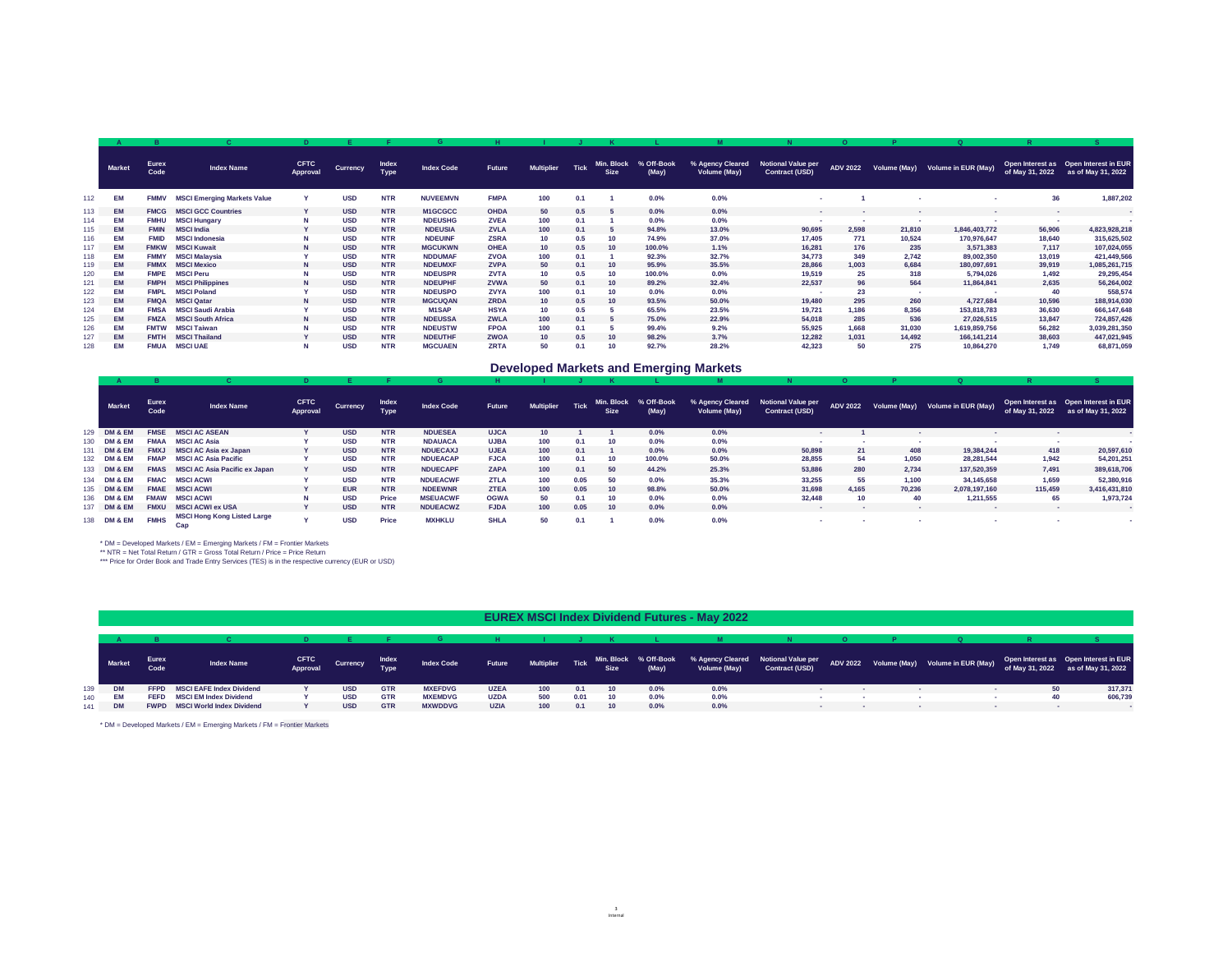|     |               | $\mathbf{B}$         |                                    |                                |                 |                             | G                 |               |                   |             |                           |                     | M                                       |                                             | $\overline{O}$  |                 | $\Omega$                         | $\overline{R}$  |                                                             |
|-----|---------------|----------------------|------------------------------------|--------------------------------|-----------------|-----------------------------|-------------------|---------------|-------------------|-------------|---------------------------|---------------------|-----------------------------------------|---------------------------------------------|-----------------|-----------------|----------------------------------|-----------------|-------------------------------------------------------------|
|     | <b>Market</b> | <b>Eurex</b><br>Code | <b>Index Name</b>                  | <b>CFTC</b><br><b>Approval</b> | <b>Currency</b> | <b>Index</b><br><b>Type</b> | <b>Index Code</b> | <b>Future</b> | <b>Multiplier</b> | <b>Tick</b> | Min. Block<br><b>Size</b> | % Off-Book<br>(May) | % Agency Cleared<br><b>Volume (May)</b> | Notional Value per<br><b>Contract (USD)</b> | <b>ADV 2022</b> |                 | Volume (May) Volume in EUR (May) | of May 31, 2022 | Open Interest as Open Interest in EUR<br>as of May 31, 2022 |
| 112 | ЕM            | <b>FMMV</b>          | <b>MSCI Emerging Markets Value</b> |                                | <b>USD</b>      | <b>NTR</b>                  | <b>NUVEEMVN</b>   | <b>FMPA</b>   | 100               | 0.1         |                           | 0.0%                | 0.0%                                    |                                             |                 |                 | <b>College</b>                   | 36              | 1,887,202                                                   |
| 113 | EM            | <b>FMCG</b>          | <b>MSCI GCC Countries</b>          |                                | <b>USD</b>      | <b>NTR</b>                  | M1GCGCC           | <b>OHDA</b>   | 50                | 0.5         |                           | $0.0\%$             | 0.0%                                    | <b>Contract</b>                             |                 |                 | <b>COLL</b>                      | $\sim$          |                                                             |
| 114 | ЕM            | <b>FMHU</b>          | <b>MSCI Hungary</b>                | N                              | <b>USD</b>      | <b>NTR</b>                  | <b>NDEUSHG</b>    | <b>ZVEA</b>   | 100               | 0.1         |                           | 0.0%                | 0.0%                                    | $\sim$                                      | <b>Contract</b> |                 |                                  |                 |                                                             |
| 115 | <b>EM</b>     | <b>FMIN</b>          | <b>MSCI India</b>                  |                                | <b>USD</b>      | <b>NTR</b>                  | <b>NDEUSIA</b>    | <b>ZVLA</b>   | 100               | 0.1         |                           | 94.8%               | 13.0%                                   | 90,695                                      | 2,598           | 21,810          | 1,846,403,772                    | 56,906          | 4,823,928,218                                               |
| 116 | ЕM            |                      | <b>MSCI Indonesia</b>              | N                              | <b>USD</b>      | <b>NTR</b>                  | <b>NDEUINF</b>    | <b>ZSRA</b>   | 10                | 0.5         | 10                        | 74.9%               | 37.0%                                   | 17,405                                      | 771             | 10,524          | 170,976,647                      | 18,640          | 315,625,502                                                 |
| 117 | <b>EM</b>     | <b>FMKW</b>          | <b>MSCI Kuwait</b>                 | <b>N</b>                       | <b>USD</b>      | <b>NTR</b>                  | <b>MGCUKWN</b>    | <b>OHEA</b>   | 10 <sub>1</sub>   | 0.5         | 10                        | 100.0%              | 1.1%                                    | 16,281                                      | 176             | 235             | 3,571,383                        | 7,117           | 107,024,055                                                 |
| 118 | ЕM            |                      | <b>MSCI Malaysia</b>               |                                | <b>USD</b>      | <b>NTR</b>                  | <b>NDDUMAF</b>    | <b>ZVOA</b>   | 100               | 0.1         |                           | 92.3%               | 32.7%                                   | 34,773                                      | 349             | 2,742           | 89,002,350                       | 13,019          | 421,449,566                                                 |
| 119 | <b>EM</b>     | <b>FMMX</b>          | <b>MSCI Mexico</b>                 | N.                             | <b>USD</b>      | <b>NTR</b>                  | <b>NDEUMXF</b>    | <b>ZVPA</b>   | 50                | 0.1         | 10                        | 95.9%               | 35.5%                                   | 28,866                                      | 1,003           | 6,684           | 180,097,691                      | 39,919          | 1,085,261,715                                               |
| 120 | ЕM            | <b>FMPE</b>          | <b>MSCI Peru</b>                   | N                              | <b>USD</b>      | <b>NTR</b>                  | <b>NDEUSPR</b>    | <b>ZVTA</b>   | 10                | 0.5         | 10                        | 100.0%              | 0.0%                                    | 19,519                                      | $25\,$          | 318             | 5,794,026                        | 1,492           | 29,295,454                                                  |
| 121 | <b>EM</b>     | <b>FMPH</b>          | <b>MSCI Philippines</b>            | <b>N</b>                       | <b>USD</b>      | <b>NTR</b>                  | <b>NDEUPHF</b>    | <b>ZVWA</b>   | 50                | 0.1         | 10                        | 89.2%               | 32.4%                                   | 22,537                                      | 96              | 564             | 11,864,841                       | 2,635           | 56,264,002                                                  |
| 122 | ЕM            | <b>FMPL</b>          | <b>MSCI Poland</b>                 |                                | <b>USD</b>      | <b>NTR</b>                  | <b>NDEUSPO</b>    | <b>ZVYA</b>   | 100               | 0.1         | 10                        | $0.0\%$             | 0.0%                                    |                                             | 23              | <b>Contract</b> | <b>Contract</b>                  | 40              | 558,574                                                     |
| 123 | <b>EM</b>     | <b>FMQA</b>          | <b>MSCI Qatar</b>                  | <b>N</b>                       | <b>USD</b>      | <b>NTR</b>                  | <b>MGCUQAN</b>    | <b>ZRDA</b>   | 10 <sub>1</sub>   | 0.5         | 10                        | 93.5%               | 50.0%                                   | 19,480                                      | 295             | 260             | 4,727,684                        | 10,596          | 188,914,030                                                 |
| 124 | ЕM            | <b>FMSA</b>          | <b>MSCI Saudi Arabia</b>           |                                | <b>USD</b>      | <b>NTR</b>                  | <b>M1SAP</b>      | <b>HSYA</b>   | 10                | 0.5         |                           | 65.5%               | 23.5%                                   | 19,721                                      | 1,186           | 8,356           | 153,818,783                      | 36,630          | 666,147,648                                                 |
| 125 | <b>EM</b>     | <b>FMZA</b>          | <b>MSCI South Africa</b>           | N.                             | <b>USD</b>      | <b>NTR</b>                  | <b>NDEUSSA</b>    | <b>ZWLA</b>   | 100               | 0.1         |                           | 75.0%               | 22.9%                                   | 54,018                                      | 285             | 536             | 27,026,515                       | 13,847          | 724,857,426                                                 |
| 126 | ЕM            | <b>FMTW</b>          | <b>MSCI Taiwan</b>                 |                                | <b>USD</b>      | <b>NTR</b>                  | <b>NDEUSTW</b>    | <b>FPOA</b>   | 100               | 0.1         |                           | 99.4%               | 9.2%                                    | 55,925                                      | 1,668           | 31,030          | 1,619,859,756                    | 56,282          | 3,039,281,350                                               |
| 127 | EM            | <b>FMTH</b>          | <b>MSCI Thailand</b>               |                                | <b>USD</b>      | <b>NTR</b>                  | <b>NDEUTHF</b>    | <b>ZWOA</b>   | 10 <sub>1</sub>   | 0.5         | 10                        | 98.2%               | 3.7%                                    | 12,282                                      | 1,031           | 14,492          | 166, 141, 214                    | 38,603          | 447,021,945                                                 |
| 128 | EM            | <b>FMUA</b>          | <b>MSCI UAE</b>                    | N                              | <b>USD</b>      | <b>NTR</b>                  | <b>MGCUAEN</b>    | <b>ZRTA</b>   | 50                | 0.1         | 10                        | 92.7%               | 28.2%                                   | 42,323                                      | 50              | 275             | 10,864,270                       | 1,749           | 68,871,059                                                  |

|     | <b>Market</b>          | <b>Eurex</b><br>Code | <b>Index Name</b>                         | <b>CFTC</b><br><b>Approval</b> | <b>Currency</b> | <b>Index</b><br><b>Type</b> | <b>Index Code</b> | <b>Future</b> | <b>Multiplier</b> | <b>Tick</b> | <b>Size</b>     | Min. Block % Off-Book<br>(May) | Volume (May) | % Agency Cleared Notional Value per<br><b>Contract (USD)</b> |            |        | ADV 2022 Volume (May) Volume in EUR (May) |         | Open Interest as Open Interest in EUR<br>of May 31, 2022 as of May 31, 2022 |
|-----|------------------------|----------------------|-------------------------------------------|--------------------------------|-----------------|-----------------------------|-------------------|---------------|-------------------|-------------|-----------------|--------------------------------|--------------|--------------------------------------------------------------|------------|--------|-------------------------------------------|---------|-----------------------------------------------------------------------------|
| 129 | DM & EM                | <b>FMSE</b>          | <b>MSCI AC ASEAN</b>                      |                                | <b>USD</b>      | <b>NTR</b>                  | <b>NDUESEA</b>    | <b>UJCA</b>   |                   |             |                 | $0.0\%$                        | 0.0%         |                                                              |            |        |                                           |         |                                                                             |
| 130 | DM & EM                | <b>FMAA</b>          | <b>MSCI AC Asia</b>                       |                                | <b>USD</b>      | <b>NTR</b>                  | <b>NDAUACA</b>    | <b>UJBA</b>   | 100               | 0.1         |                 | 0.0%                           | 0.0%         |                                                              |            |        |                                           |         |                                                                             |
| 131 | DM & EM                | <b>FMXJ</b>          | <b>MSCI AC Asia ex Japan</b>              |                                | <b>USD</b>      | <b>NTR</b>                  | <b>NDUECAXJ</b>   | <b>UJEA</b>   | 100               | 0.1         |                 | $0.0\%$                        | $0.0\%$      | 50,898                                                       | 21         | 408    | 19,384,244                                | 418     | 20,597,610                                                                  |
|     | 132 <b>DM &amp; EM</b> | <b>FMAP</b>          | <b>MSCI AC Asia Pacific</b>               |                                | <b>USD</b>      | <b>NTR</b>                  | <b>NDUEACAP</b>   | <b>FJCA</b>   | 100               | 0.1         | <b>10</b>       | 100.0%                         | 50.0%        | 28,855                                                       | 54         | 1,050  | 28,281,544                                | 1,942   | 54,201,251                                                                  |
| 133 | DM & EM                |                      | <b>FMAS</b> MSCI AC Asia Pacific ex Japan |                                | <b>USD</b>      | <b>NTR</b>                  | <b>NDUECAPF</b>   | <b>ZAPA</b>   | 100               | 0.1         | 50              | 44.2%                          | 25.3%        | 53,886                                                       | <b>280</b> | 2,734  | 137,520,359                               | 7,491   | 389,618,706                                                                 |
| 134 | DM & EM                | <b>FMAC</b>          | <b>MSCI ACWI</b>                          |                                | <b>USD</b>      | <b>NTR</b>                  | <b>NDUEACWF</b>   | <b>ZTLA</b>   | 100               | 0.05        | 50              | $0.0\%$                        | 35.3%        | 33,255                                                       | 55         | 1,100  | 34,145,658                                | 1,659   | 52,380,916                                                                  |
| 135 | DM & EM                | <b>FMAE</b>          | <b>MSCI ACWI</b>                          |                                | <b>EUR</b>      | <b>NTR</b>                  | <b>NDEEWNR</b>    | <b>ZTEA</b>   | 100               | 0.05        | 10 <sup>°</sup> | 98.8%                          | 50.0%        | 31,698                                                       | 4,165      | 70,236 | 2,078,197,160                             | 115,459 | 3,416,431,810                                                               |
| 136 | DM & EM                | <b>FMAW</b>          | <b>MSCI ACWI</b>                          |                                | <b>USD</b>      | <b>Price</b>                | <b>MSEUACWF</b>   | <b>OGWA</b>   | 50                | 0.1         | 10              | 0.0%                           | 0.0%         | 32,448                                                       | 10         | 40     | 1,211,555                                 | 65      | 1,973,724                                                                   |
| 137 | DM & EM                | <b>FMXU</b>          | <b>MSCI ACWI ex USA</b>                   |                                | <b>USD</b>      | <b>NTR</b>                  | <b>NDUEACWZ</b>   | <b>FJDA</b>   | 100               | 0.05        | 10              | 0.0%                           | 0.0%         | $\sim$                                                       |            |        | <b>COLL</b>                               | $\sim$  |                                                                             |
|     | 138 <b>DM &amp; EM</b> | <b>FMHS</b>          | <b>MSCI Hong Kong Listed Large</b><br>Cap |                                | <b>USD</b>      | <b>Price</b>                | <b>MXHKLU</b>     | <b>SHLA</b>   | 50                | 0.1         |                 | 0.0%                           | 0.0%         |                                                              |            |        |                                           |         |                                                                             |

\*\* NTR = Net Total Return / GTR = Gross Total Return / Price = Price Return

\*\*\* Price for Order Book and Trade Entry Services (TES) is in the respective currency (EUR or USD)

|     |               |                      |                                    |                                                   |               |                   |               |                                   |      |           |         | <b>EUREX MSCI Index Dividend Futures - May 2022</b> |                          |  |                                                                                                                       |        |         |
|-----|---------------|----------------------|------------------------------------|---------------------------------------------------|---------------|-------------------|---------------|-----------------------------------|------|-----------|---------|-----------------------------------------------------|--------------------------|--|-----------------------------------------------------------------------------------------------------------------------|--------|---------|
|     |               |                      |                                    |                                                   |               |                   |               |                                   |      |           |         |                                                     |                          |  |                                                                                                                       |        |         |
|     | <b>Market</b> | <b>Eurex</b><br>Code | <b>Index Name</b>                  | <b>CFTC</b><br><b>Currency</b><br><b>Approval</b> | Index<br>Tvpe | <b>Index Code</b> | <b>Future</b> | <b>Example 11 Multiplier Fick</b> |      |           |         |                                                     |                          |  | ADV 2022 Volume (May) Volume in EUR (May) Open Interest as Open Interest in EUR<br>of May 31, 2022 as of May 31, 2022 |        |         |
| 139 | <b>DM</b>     |                      | FFPD MSCI EAFE Index Dividend      | <b>USD</b>                                        | <b>GTR</b>    | <b>MXEFDVG</b>    | <b>UZEA</b>   | 100                               | 0.1  |           | $0.0\%$ | $0.0\%$                                             |                          |  |                                                                                                                       | 50     | 317,371 |
| 140 | EM            |                      | <b>FEFD</b> MSCI EM Index Dividend | <b>USD</b>                                        | <b>GTR</b>    | <b>MXEMDVG</b>    | <b>UZDA</b>   | 500                               | 0.01 | <b>10</b> | $0.0\%$ | $0.0\%$                                             |                          |  |                                                                                                                       | 40     | 606,739 |
| 141 | <b>DM</b>     | <b>FWPD</b>          | <b>MSCI World Index Dividend</b>   | <b>USD</b>                                        | <b>GTR</b>    | <b>MXWDDVG</b>    | <b>UZIA</b>   | 100                               | 0.1  | 10        | 0.0%    | 0.0%                                                | <b>Contract Contract</b> |  |                                                                                                                       | $\sim$ | $\sim$  |

\* DM = Developed Markets / EM = Emerging Markets / FM = Frontier Markets

## **Developed Markets and Emerging Markets**

\* DM = Developed Markets / EM = Emerging Markets / FM = Frontier Markets